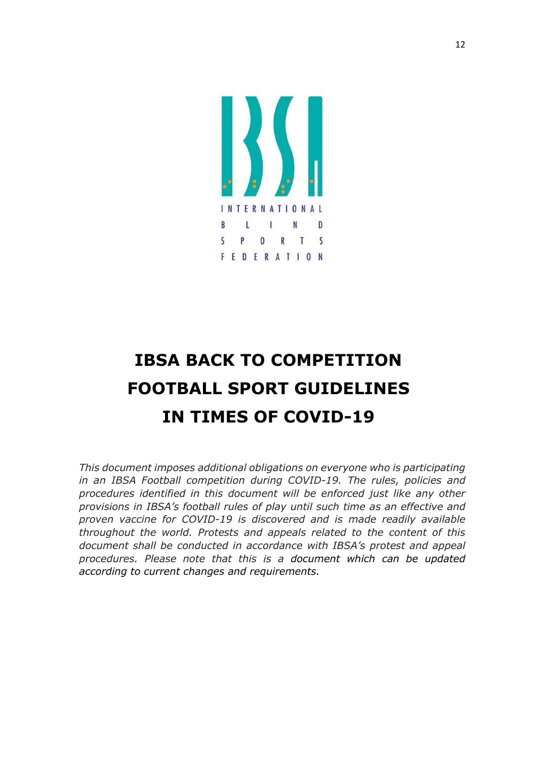

# IBSA BACK TO COMPETITION FOOTBALL SPORT GUIDELINES IN TIMES OF COVID-19

This document imposes additional obligations on everyone who is participating in an IBSA Football competition during COVID-19. The rules, policies and procedures identified in this document will be enforced just like any other provisions in IBSA's football rules of play until such time as an effective and proven vaccine for COVID-19 is discovered and is made readily available throughout the world. Protests and appeals related to the content of this document shall be conducted in accordance with IBSA's protest and appeal procedures. Please note that this is a document which can be updated according to current changes and requirements.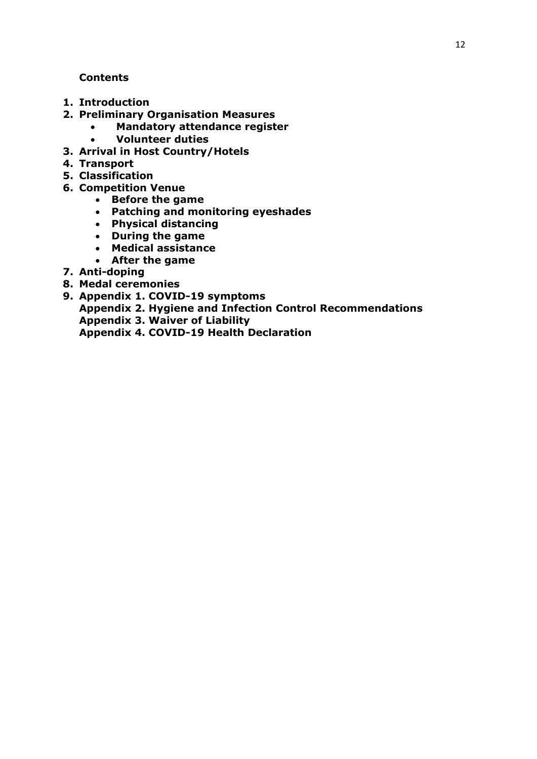## **Contents**

- 1. Introduction
- 2. Preliminary Organisation Measures
	- Mandatory attendance register
		- Volunteer duties
- 3. Arrival in Host Country/Hotels
- 4. Transport
- 5. Classification
- 6. Competition Venue
	- Before the game
	- Patching and monitoring eyeshades
	- Physical distancing
	- During the game
	- Medical assistance
	- After the game
- 7. Anti-doping
- 8. Medal ceremonies
- 9. Appendix 1. COVID-19 symptoms Appendix 2. Hygiene and Infection Control Recommendations Appendix 3. Waiver of Liability Appendix 4. COVID-19 Health Declaration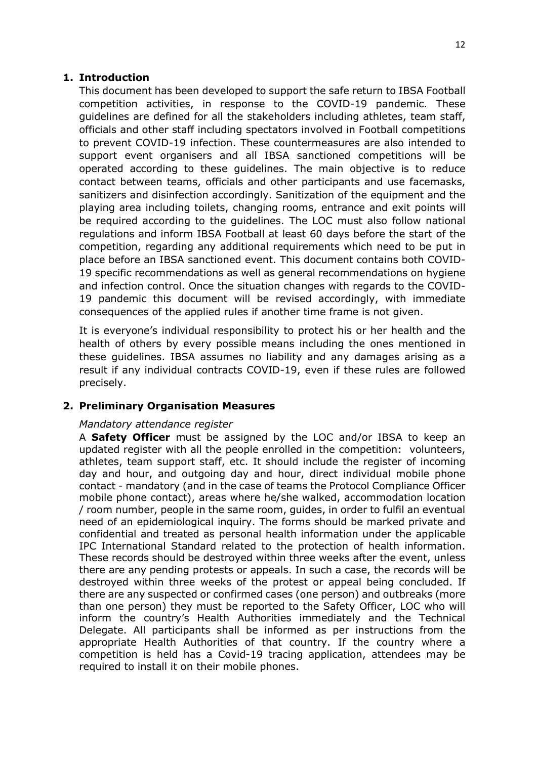## 1. Introduction

This document has been developed to support the safe return to IBSA Football competition activities, in response to the COVID-19 pandemic. These guidelines are defined for all the stakeholders including athletes, team staff, officials and other staff including spectators involved in Football competitions to prevent COVID-19 infection. These countermeasures are also intended to support event organisers and all IBSA sanctioned competitions will be operated according to these guidelines. The main objective is to reduce contact between teams, officials and other participants and use facemasks, sanitizers and disinfection accordingly. Sanitization of the equipment and the playing area including toilets, changing rooms, entrance and exit points will be required according to the guidelines. The LOC must also follow national regulations and inform IBSA Football at least 60 days before the start of the competition, regarding any additional requirements which need to be put in place before an IBSA sanctioned event. This document contains both COVID-19 specific recommendations as well as general recommendations on hygiene and infection control. Once the situation changes with regards to the COVID-19 pandemic this document will be revised accordingly, with immediate consequences of the applied rules if another time frame is not given.

It is everyone's individual responsibility to protect his or her health and the health of others by every possible means including the ones mentioned in these guidelines. IBSA assumes no liability and any damages arising as a result if any individual contracts COVID-19, even if these rules are followed precisely.

#### 2. Preliminary Organisation Measures

#### Mandatory attendance register

A Safety Officer must be assigned by the LOC and/or IBSA to keep an updated register with all the people enrolled in the competition: volunteers, athletes, team support staff, etc. It should include the register of incoming day and hour, and outgoing day and hour, direct individual mobile phone contact - mandatory (and in the case of teams the Protocol Compliance Officer mobile phone contact), areas where he/she walked, accommodation location / room number, people in the same room, guides, in order to fulfil an eventual need of an epidemiological inquiry. The forms should be marked private and confidential and treated as personal health information under the applicable IPC International Standard related to the protection of health information. These records should be destroyed within three weeks after the event, unless there are any pending protests or appeals. In such a case, the records will be destroyed within three weeks of the protest or appeal being concluded. If there are any suspected or confirmed cases (one person) and outbreaks (more than one person) they must be reported to the Safety Officer, LOC who will inform the country's Health Authorities immediately and the Technical Delegate. All participants shall be informed as per instructions from the appropriate Health Authorities of that country. If the country where a competition is held has a Covid-19 tracing application, attendees may be required to install it on their mobile phones.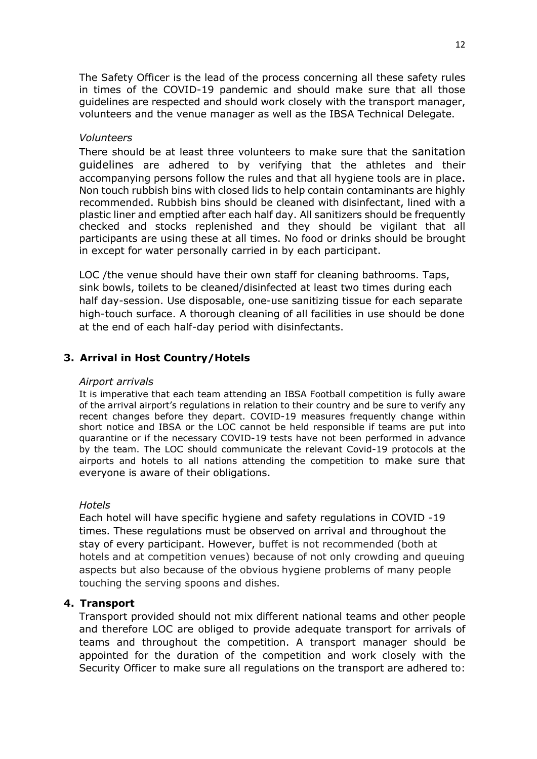The Safety Officer is the lead of the process concerning all these safety rules in times of the COVID-19 pandemic and should make sure that all those guidelines are respected and should work closely with the transport manager, volunteers and the venue manager as well as the IBSA Technical Delegate.

#### Volunteers

There should be at least three volunteers to make sure that the sanitation guidelines are adhered to by verifying that the athletes and their accompanying persons follow the rules and that all hygiene tools are in place. Non touch rubbish bins with closed lids to help contain contaminants are highly recommended. Rubbish bins should be cleaned with disinfectant, lined with a plastic liner and emptied after each half day. All sanitizers should be frequently checked and stocks replenished and they should be vigilant that all participants are using these at all times. No food or drinks should be brought in except for water personally carried in by each participant.

LOC /the venue should have their own staff for cleaning bathrooms. Taps, sink bowls, toilets to be cleaned/disinfected at least two times during each half day-session. Use disposable, one-use sanitizing tissue for each separate high-touch surface. A thorough cleaning of all facilities in use should be done at the end of each half-day period with disinfectants.

### 3. Arrival in Host Country/Hotels

#### Airport arrivals

It is imperative that each team attending an IBSA Football competition is fully aware of the arrival airport's regulations in relation to their country and be sure to verify any recent changes before they depart. COVID-19 measures frequently change within short notice and IBSA or the LOC cannot be held responsible if teams are put into quarantine or if the necessary COVID-19 tests have not been performed in advance by the team. The LOC should communicate the relevant Covid-19 protocols at the airports and hotels to all nations attending the competition to make sure that everyone is aware of their obligations.

#### **Hotels**

Each hotel will have specific hygiene and safety regulations in COVID -19 times. These regulations must be observed on arrival and throughout the stay of every participant. However, buffet is not recommended (both at hotels and at competition venues) because of not only crowding and queuing aspects but also because of the obvious hygiene problems of many people touching the serving spoons and dishes.

#### 4. Transport

Transport provided should not mix different national teams and other people and therefore LOC are obliged to provide adequate transport for arrivals of teams and throughout the competition. A transport manager should be appointed for the duration of the competition and work closely with the Security Officer to make sure all regulations on the transport are adhered to: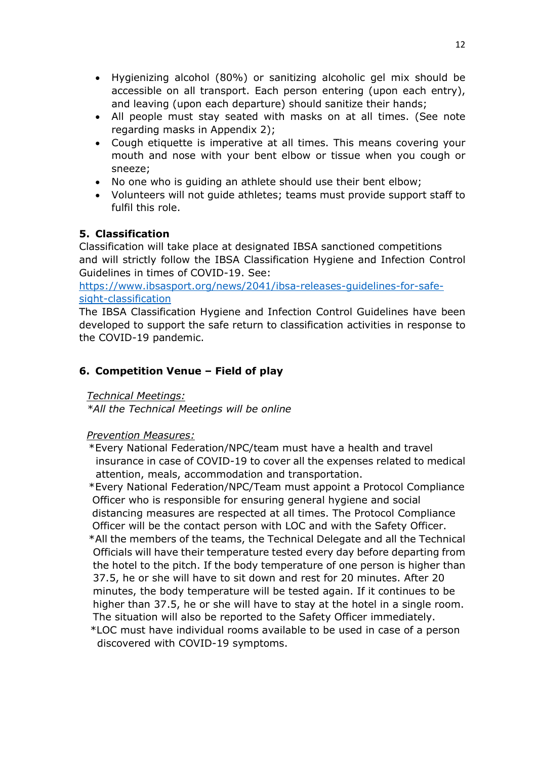- Hygienizing alcohol (80%) or sanitizing alcoholic gel mix should be accessible on all transport. Each person entering (upon each entry), and leaving (upon each departure) should sanitize their hands;
- All people must stay seated with masks on at all times. (See note regarding masks in Appendix 2);
- Cough etiquette is imperative at all times. This means covering your mouth and nose with your bent elbow or tissue when you cough or sneeze;
- No one who is guiding an athlete should use their bent elbow;
- Volunteers will not guide athletes; teams must provide support staff to fulfil this role.

# 5. Classification

Classification will take place at designated IBSA sanctioned competitions and will strictly follow the IBSA Classification Hygiene and Infection Control Guidelines in times of COVID-19. See:

https://www.ibsasport.org/news/2041/ibsa-releases-guidelines-for-safesight-classification

The IBSA Classification Hygiene and Infection Control Guidelines have been developed to support the safe return to classification activities in response to the COVID-19 pandemic.

# 6. Competition Venue – Field of play

## Technical Meetings:

\*All the Technical Meetings will be online

## Prevention Measures:

 \*Every National Federation/NPC/team must have a health and travel insurance in case of COVID-19 to cover all the expenses related to medical attention, meals, accommodation and transportation.

 \*Every National Federation/NPC/Team must appoint a Protocol Compliance Officer who is responsible for ensuring general hygiene and social distancing measures are respected at all times. The Protocol Compliance Officer will be the contact person with LOC and with the Safety Officer.

- \*All the members of the teams, the Technical Delegate and all the Technical Officials will have their temperature tested every day before departing from the hotel to the pitch. If the body temperature of one person is higher than 37.5, he or she will have to sit down and rest for 20 minutes. After 20 minutes, the body temperature will be tested again. If it continues to be higher than 37.5, he or she will have to stay at the hotel in a single room. The situation will also be reported to the Safety Officer immediately.
- \*LOC must have individual rooms available to be used in case of a person discovered with COVID-19 symptoms.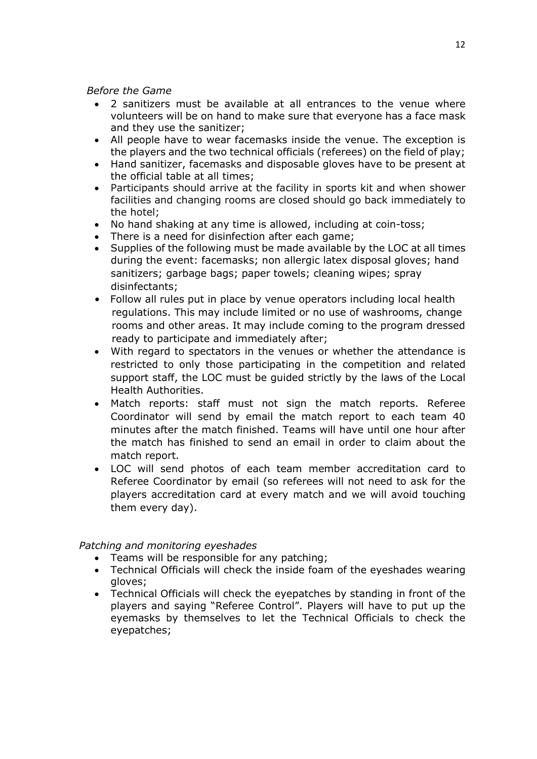Before the Game

- 2 sanitizers must be available at all entrances to the venue where volunteers will be on hand to make sure that everyone has a face mask and they use the sanitizer;
- All people have to wear facemasks inside the venue. The exception is the players and the two technical officials (referees) on the field of play;
- Hand sanitizer, facemasks and disposable gloves have to be present at the official table at all times;
- Participants should arrive at the facility in sports kit and when shower facilities and changing rooms are closed should go back immediately to the hotel;
- No hand shaking at any time is allowed, including at coin-toss;
- There is a need for disinfection after each game;
- Supplies of the following must be made available by the LOC at all times during the event: facemasks; non allergic latex disposal gloves; hand sanitizers; garbage bags; paper towels; cleaning wipes; spray disinfectants;
- Follow all rules put in place by venue operators including local health regulations. This may include limited or no use of washrooms, change rooms and other areas. It may include coming to the program dressed ready to participate and immediately after;
- With regard to spectators in the venues or whether the attendance is restricted to only those participating in the competition and related support staff, the LOC must be guided strictly by the laws of the Local Health Authorities.
- Match reports: staff must not sign the match reports. Referee Coordinator will send by email the match report to each team 40 minutes after the match finished. Teams will have until one hour after the match has finished to send an email in order to claim about the match report.
- LOC will send photos of each team member accreditation card to Referee Coordinator by email (so referees will not need to ask for the players accreditation card at every match and we will avoid touching them every day).

## Patching and monitoring eyeshades

- Teams will be responsible for any patching;
- Technical Officials will check the inside foam of the eyeshades wearing gloves;
- Technical Officials will check the eyepatches by standing in front of the players and saying "Referee Control". Players will have to put up the eyemasks by themselves to let the Technical Officials to check the eyepatches;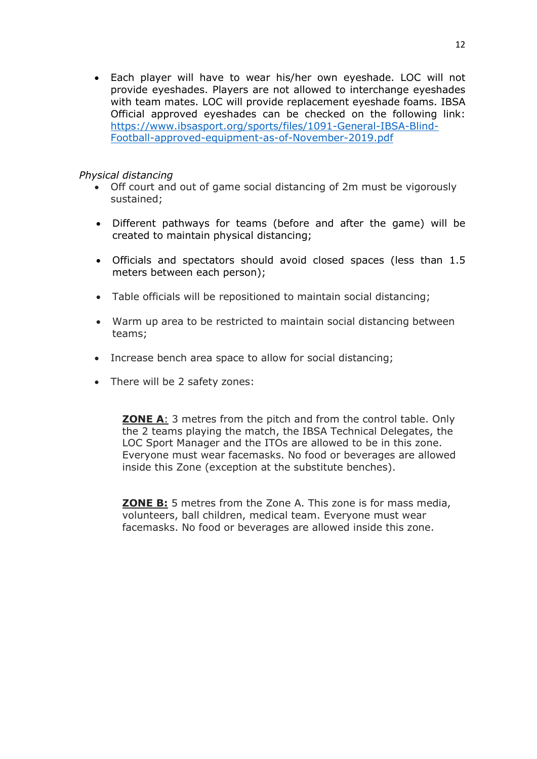Each player will have to wear his/her own eyeshade. LOC will not provide eyeshades. Players are not allowed to interchange eyeshades with team mates. LOC will provide replacement eyeshade foams. IBSA Official approved eyeshades can be checked on the following link: https://www.ibsasport.org/sports/files/1091-General-IBSA-Blind-Football-approved-equipment-as-of-November-2019.pdf

#### Physical distancing

- Off court and out of game social distancing of 2m must be vigorously sustained;
- Different pathways for teams (before and after the game) will be created to maintain physical distancing;
- Officials and spectators should avoid closed spaces (less than 1.5 meters between each person);
- Table officials will be repositioned to maintain social distancing;
- Warm up area to be restricted to maintain social distancing between teams;
- Increase bench area space to allow for social distancing;
- There will be 2 safety zones:

**ZONE A:** 3 metres from the pitch and from the control table. Only the 2 teams playing the match, the IBSA Technical Delegates, the LOC Sport Manager and the ITOs are allowed to be in this zone. Everyone must wear facemasks. No food or beverages are allowed inside this Zone (exception at the substitute benches).

**ZONE B:** 5 metres from the Zone A. This zone is for mass media, volunteers, ball children, medical team. Everyone must wear facemasks. No food or beverages are allowed inside this zone.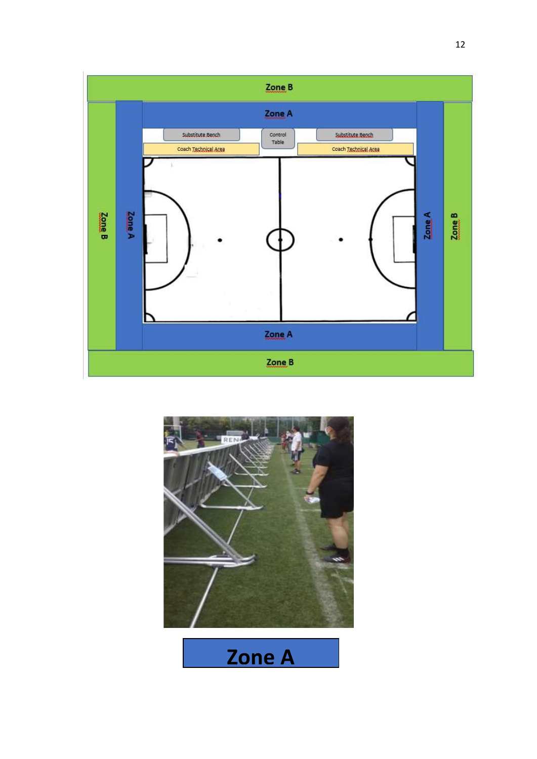



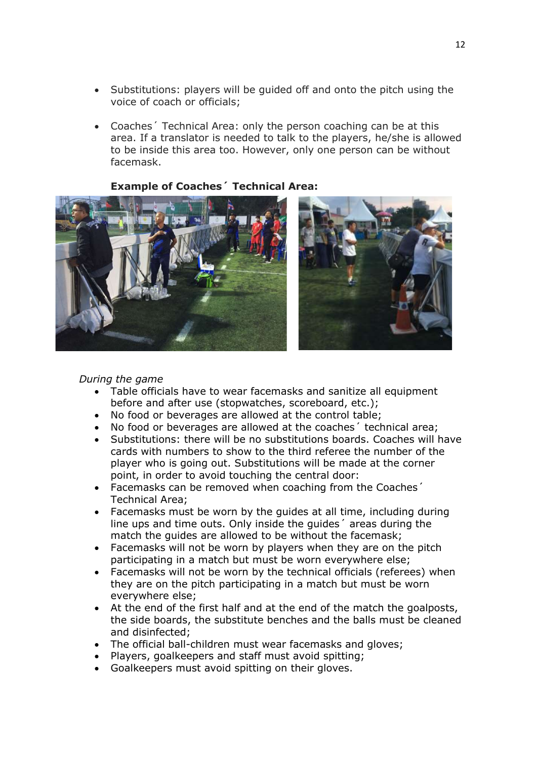- Substitutions: players will be guided off and onto the pitch using the voice of coach or officials;
- Coaches´ Technical Area: only the person coaching can be at this area. If a translator is needed to talk to the players, he/she is allowed to be inside this area too. However, only one person can be without facemask.

Example of Coaches´ Technical Area:



#### During the game

- Table officials have to wear facemasks and sanitize all equipment before and after use (stopwatches, scoreboard, etc.);
- No food or beverages are allowed at the control table;
- No food or beverages are allowed at the coaches´ technical area;
- Substitutions: there will be no substitutions boards. Coaches will have cards with numbers to show to the third referee the number of the player who is going out. Substitutions will be made at the corner point, in order to avoid touching the central door:
- Facemasks can be removed when coaching from the Coaches´ Technical Area;
- Facemasks must be worn by the guides at all time, including during line ups and time outs. Only inside the guides´ areas during the match the guides are allowed to be without the facemask;
- Facemasks will not be worn by players when they are on the pitch participating in a match but must be worn everywhere else;
- Facemasks will not be worn by the technical officials (referees) when they are on the pitch participating in a match but must be worn everywhere else;
- At the end of the first half and at the end of the match the goalposts, the side boards, the substitute benches and the balls must be cleaned and disinfected;
- The official ball-children must wear facemasks and gloves;
- Players, goalkeepers and staff must avoid spitting;
- Goalkeepers must avoid spitting on their gloves.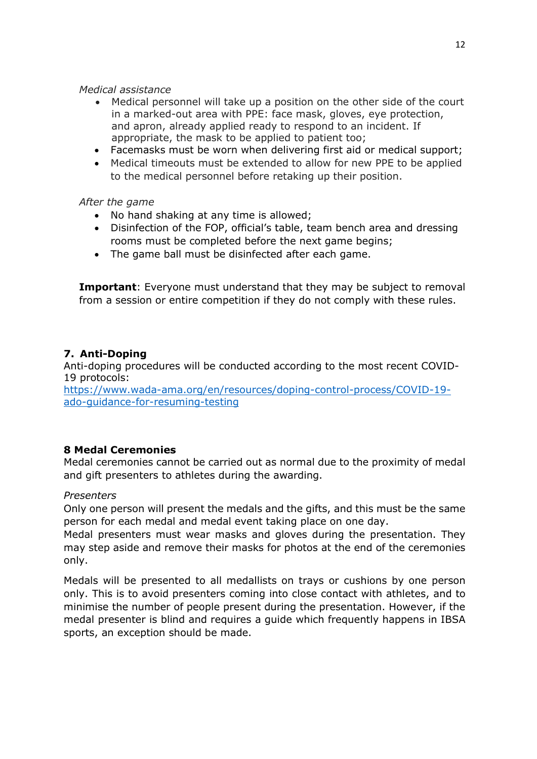#### Medical assistance

- Medical personnel will take up a position on the other side of the court in a marked-out area with PPE: face mask, gloves, eye protection, and apron, already applied ready to respond to an incident. If appropriate, the mask to be applied to patient too;
- Facemasks must be worn when delivering first aid or medical support;
- Medical timeouts must be extended to allow for new PPE to be applied to the medical personnel before retaking up their position.

## After the game

- No hand shaking at any time is allowed;
- Disinfection of the FOP, official's table, team bench area and dressing rooms must be completed before the next game begins;
- The game ball must be disinfected after each game.

**Important:** Everyone must understand that they may be subject to removal from a session or entire competition if they do not comply with these rules.

# 7. Anti-Doping

Anti-doping procedures will be conducted according to the most recent COVID-19 protocols:

https://www.wada-ama.org/en/resources/doping-control-process/COVID-19 ado-guidance-for-resuming-testing

## 8 Medal Ceremonies

Medal ceremonies cannot be carried out as normal due to the proximity of medal and gift presenters to athletes during the awarding.

## **Presenters**

Only one person will present the medals and the gifts, and this must be the same person for each medal and medal event taking place on one day.

Medal presenters must wear masks and gloves during the presentation. They may step aside and remove their masks for photos at the end of the ceremonies only.

Medals will be presented to all medallists on trays or cushions by one person only. This is to avoid presenters coming into close contact with athletes, and to minimise the number of people present during the presentation. However, if the medal presenter is blind and requires a guide which frequently happens in IBSA sports, an exception should be made.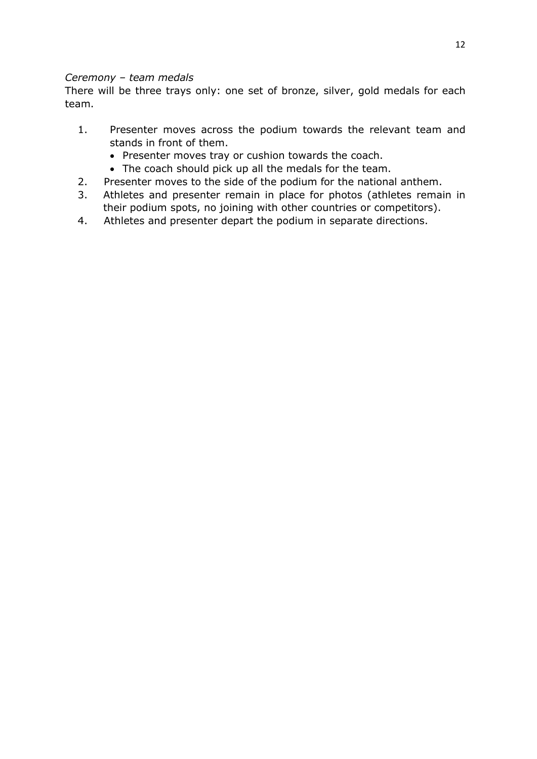## Ceremony – team medals

There will be three trays only: one set of bronze, silver, gold medals for each team.

- 1. Presenter moves across the podium towards the relevant team and stands in front of them.
	- Presenter moves tray or cushion towards the coach.
	- The coach should pick up all the medals for the team.
- 2. Presenter moves to the side of the podium for the national anthem.
- 3. Athletes and presenter remain in place for photos (athletes remain in their podium spots, no joining with other countries or competitors).
- 4. Athletes and presenter depart the podium in separate directions.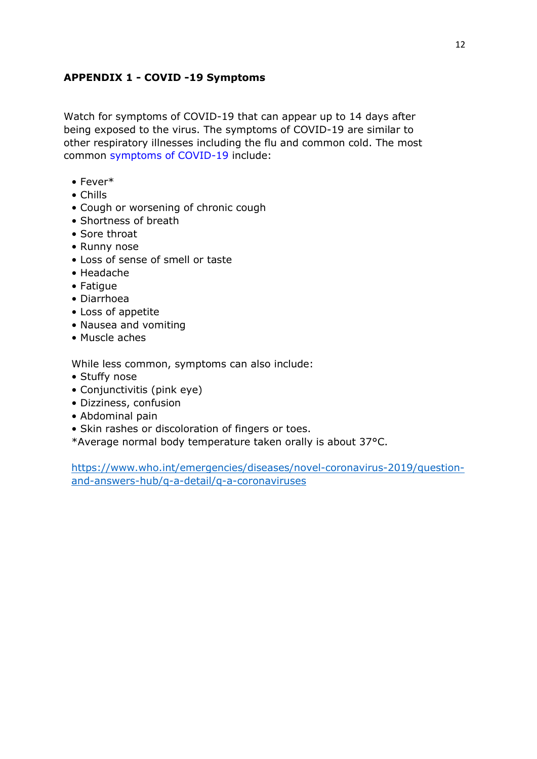## APPENDIX 1 - COVID -19 Symptoms

Watch for symptoms of COVID-19 that can appear up to 14 days after being exposed to the virus. The symptoms of COVID-19 are similar to other respiratory illnesses including the flu and common cold. The most common symptoms of COVID-19 include:

- Fever\*
- Chills
- Cough or worsening of chronic cough
- Shortness of breath
- Sore throat
- Runny nose
- Loss of sense of smell or taste
- Headache
- Fatigue
- Diarrhoea
- Loss of appetite
- Nausea and vomiting
- Muscle aches

While less common, symptoms can also include:

- Stuffy nose
- Conjunctivitis (pink eye)
- Dizziness, confusion
- Abdominal pain
- Skin rashes or discoloration of fingers or toes.
- \*Average normal body temperature taken orally is about 37°C.

https://www.who.int/emergencies/diseases/novel-coronavirus-2019/questionand-answers-hub/q-a-detail/q-a-coronaviruses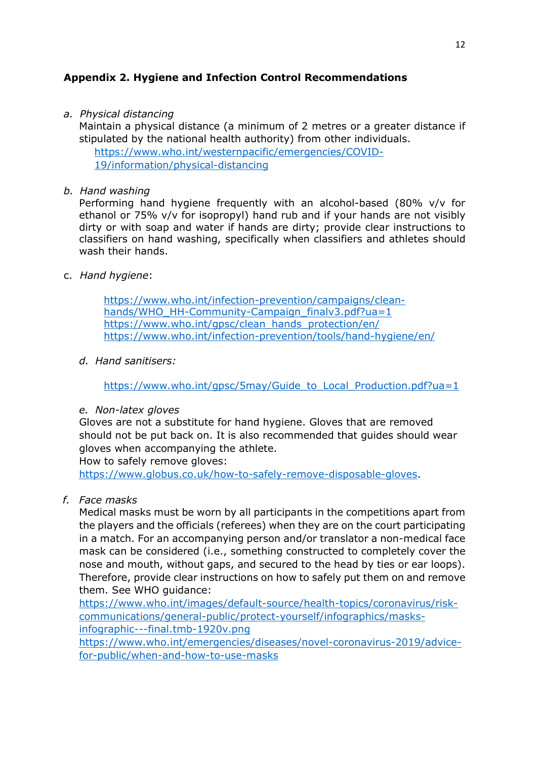## Appendix 2. Hygiene and Infection Control Recommendations

a. Physical distancing

Maintain a physical distance (a minimum of 2 metres or a greater distance if stipulated by the national health authority) from other individuals. https://www.who.int/westernpacific/emergencies/COVID-19/information/physical-distancing

#### b. Hand washing

Performing hand hygiene frequently with an alcohol-based (80% v/v for ethanol or 75% v/v for isopropyl) hand rub and if your hands are not visibly dirty or with soap and water if hands are dirty; provide clear instructions to classifiers on hand washing, specifically when classifiers and athletes should wash their hands.

### c. Hand hygiene:

https://www.who.int/infection-prevention/campaigns/cleanhands/WHO\_HH-Community-Campaign\_finalv3.pdf?ua=1 https://www.who.int/gpsc/clean\_hands\_protection/en/ https://www.who.int/infection-prevention/tools/hand-hygiene/en/

d. Hand sanitisers:

https://www.who.int/qpsc/5may/Guide\_to\_Local\_Production.pdf?ua=1

e. Non-latex gloves

Gloves are not a substitute for hand hygiene. Gloves that are removed should not be put back on. It is also recommended that guides should wear gloves when accompanying the athlete.

How to safely remove gloves:

https://www.globus.co.uk/how-to-safely-remove-disposable-gloves.

f. Face masks

Medical masks must be worn by all participants in the competitions apart from the players and the officials (referees) when they are on the court participating in a match. For an accompanying person and/or translator a non-medical face mask can be considered (i.e., something constructed to completely cover the nose and mouth, without gaps, and secured to the head by ties or ear loops). Therefore, provide clear instructions on how to safely put them on and remove them. See WHO guidance:

https://www.who.int/images/default-source/health-topics/coronavirus/riskcommunications/general-public/protect-yourself/infographics/masksinfographic---final.tmb-1920v.png

https://www.who.int/emergencies/diseases/novel-coronavirus-2019/advicefor-public/when-and-how-to-use-masks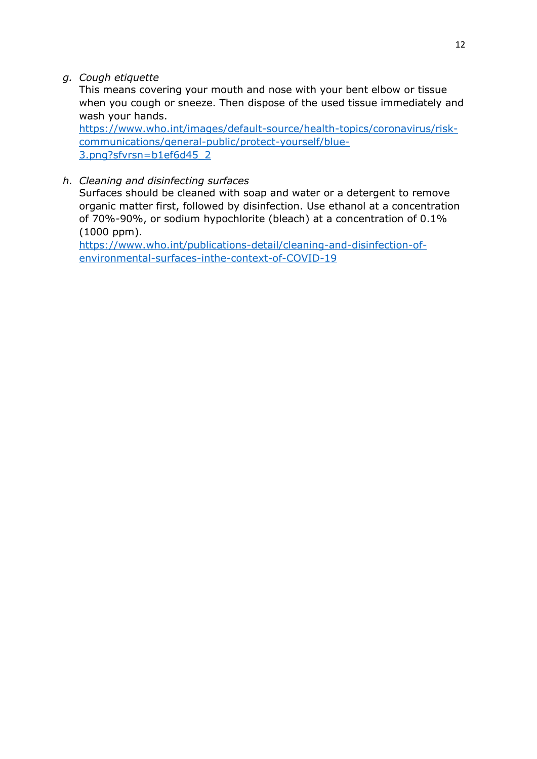g. Cough etiquette

This means covering your mouth and nose with your bent elbow or tissue when you cough or sneeze. Then dispose of the used tissue immediately and wash your hands.

https://www.who.int/images/default-source/health-topics/coronavirus/riskcommunications/general-public/protect-yourself/blue-3.png?sfvrsn=b1ef6d45\_2

# h. Cleaning and disinfecting surfaces

Surfaces should be cleaned with soap and water or a detergent to remove organic matter first, followed by disinfection. Use ethanol at a concentration of 70%-90%, or sodium hypochlorite (bleach) at a concentration of 0.1% (1000 ppm).

https://www.who.int/publications-detail/cleaning-and-disinfection-ofenvironmental-surfaces-inthe-context-of-COVID-19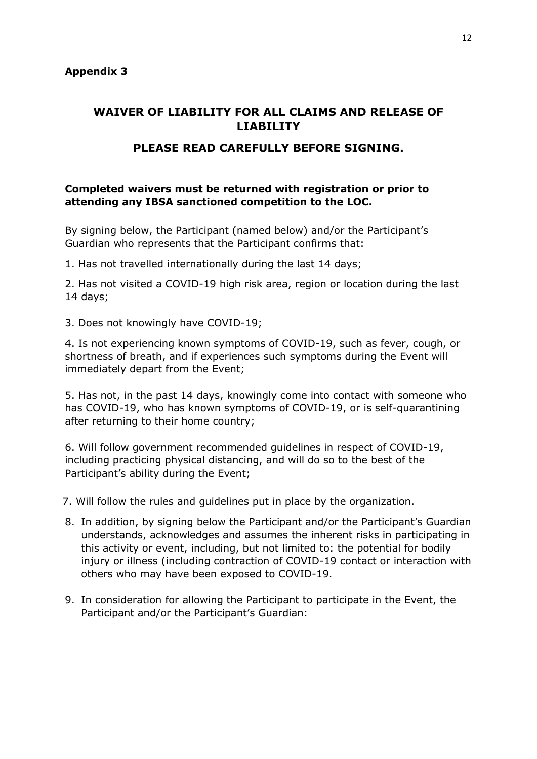# WAIVER OF LIABILITY FOR ALL CLAIMS AND RELEASE OF LIABILITY

## PLEASE READ CAREFULLY BEFORE SIGNING.

### Completed waivers must be returned with registration or prior to attending any IBSA sanctioned competition to the LOC.

By signing below, the Participant (named below) and/or the Participant's Guardian who represents that the Participant confirms that:

1. Has not travelled internationally during the last 14 days;

2. Has not visited a COVID-19 high risk area, region or location during the last 14 days;

3. Does not knowingly have COVID-19;

4. Is not experiencing known symptoms of COVID-19, such as fever, cough, or shortness of breath, and if experiences such symptoms during the Event will immediately depart from the Event;

5. Has not, in the past 14 days, knowingly come into contact with someone who has COVID-19, who has known symptoms of COVID-19, or is self-quarantining after returning to their home country;

6. Will follow government recommended guidelines in respect of COVID-19, including practicing physical distancing, and will do so to the best of the Participant's ability during the Event;

7. Will follow the rules and guidelines put in place by the organization.

- 8. In addition, by signing below the Participant and/or the Participant's Guardian understands, acknowledges and assumes the inherent risks in participating in this activity or event, including, but not limited to: the potential for bodily injury or illness (including contraction of COVID-19 contact or interaction with others who may have been exposed to COVID-19.
- 9. In consideration for allowing the Participant to participate in the Event, the Participant and/or the Participant's Guardian: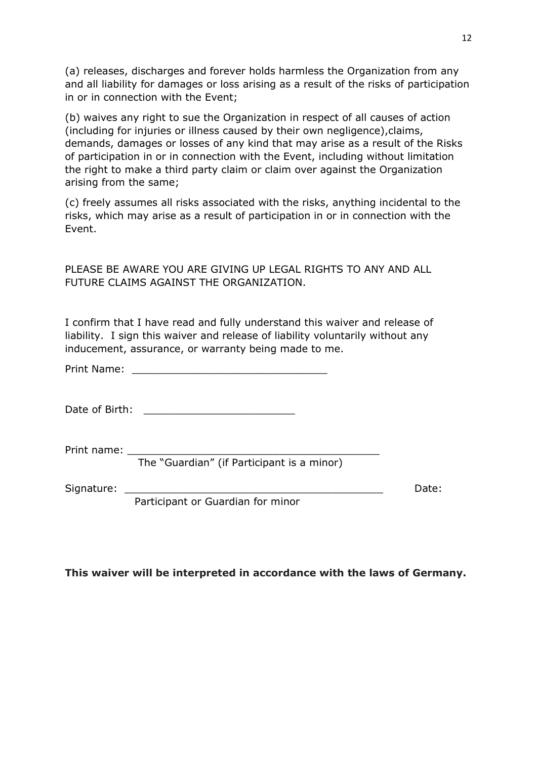(a) releases, discharges and forever holds harmless the Organization from any and all liability for damages or loss arising as a result of the risks of participation in or in connection with the Event;

(b) waives any right to sue the Organization in respect of all causes of action (including for injuries or illness caused by their own negligence),claims, demands, damages or losses of any kind that may arise as a result of the Risks of participation in or in connection with the Event, including without limitation the right to make a third party claim or claim over against the Organization arising from the same;

(c) freely assumes all risks associated with the risks, anything incidental to the risks, which may arise as a result of participation in or in connection with the Event.

PLEASE BE AWARE YOU ARE GIVING UP LEGAL RIGHTS TO ANY AND ALL FUTURE CLAIMS AGAINST THE ORGANIZATION.

I confirm that I have read and fully understand this waiver and release of liability. I sign this waiver and release of liability voluntarily without any inducement, assurance, or warranty being made to me.

Print Name:

Date of Birth: \_\_\_\_\_\_\_\_\_\_\_\_\_\_\_\_\_\_\_\_\_\_\_\_

Print name:  $\_$ 

The "Guardian" (if Participant is a minor)

Signature: 2008 and 2008 and 2008 and 2008 and 2008 and 2008 and 2008 and 2008 and 2008 and 2008 and 2008 and 2008 and 2008 and 2008 and 2008 and 2008 and 2008 and 2008 and 2008 and 2008 and 2008 and 2008 and 2008 and 2008

Participant or Guardian for minor

This waiver will be interpreted in accordance with the laws of Germany.